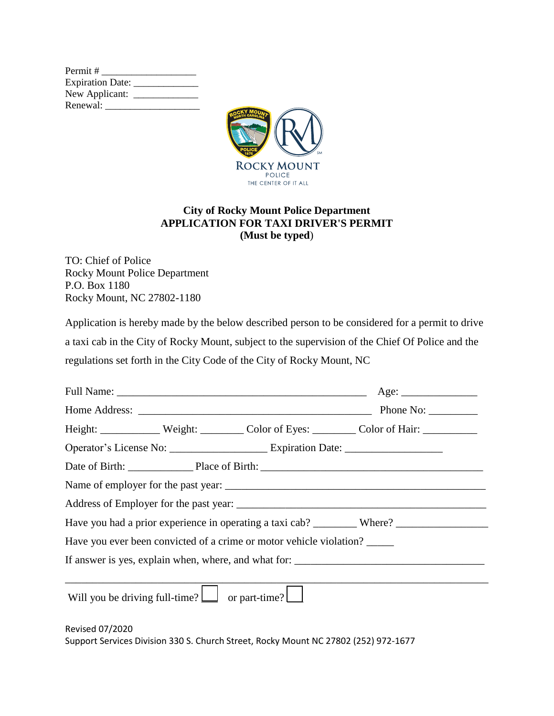

## **City of Rocky Mount Police Department APPLICATION FOR TAXI DRIVER'S PERMIT (Must be typed**)

TO: Chief of Police Rocky Mount Police Department P.O. Box 1180 Rocky Mount, NC 27802-1180

Application is hereby made by the below described person to be considered for a permit to drive a taxi cab in the City of Rocky Mount, subject to the supervision of the Chief Of Police and the regulations set forth in the City Code of the City of Rocky Mount, NC

|  |                                                                     | Age:                                                                                                 |
|--|---------------------------------------------------------------------|------------------------------------------------------------------------------------------------------|
|  |                                                                     |                                                                                                      |
|  |                                                                     | Height: Weight: Weight: Color of Eyes: Color of Hair: ___________________________                    |
|  |                                                                     | Operator's License No: ___________________________ Expiration Date: ________________________________ |
|  |                                                                     |                                                                                                      |
|  |                                                                     |                                                                                                      |
|  |                                                                     |                                                                                                      |
|  |                                                                     | Have you had a prior experience in operating a taxi cab? _________ Where? __________________________ |
|  | Have you ever been convicted of a crime or motor vehicle violation? |                                                                                                      |
|  |                                                                     |                                                                                                      |
|  |                                                                     |                                                                                                      |
|  | Will you be driving full-time? $\boxed{\phantom{a}}$ or part-time?  |                                                                                                      |

Revised 07/2020 Support Services Division 330 S. Church Street, Rocky Mount NC 27802 (252) 972-1677